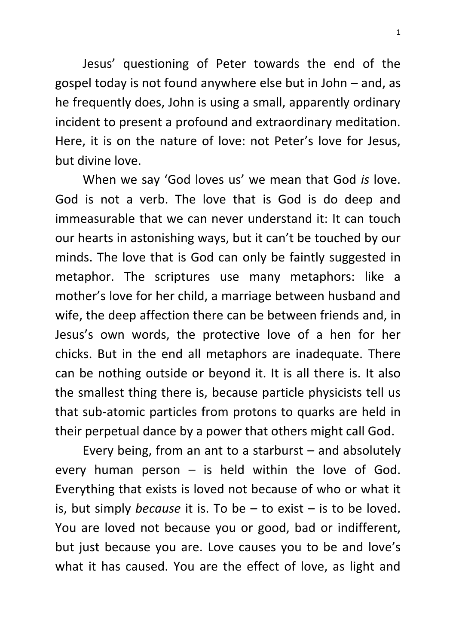Jesus' questioning of Peter towards the end of the gospel today is not found anywhere else but in John – and, as he frequently does, John is using a small, apparently ordinary incident to present a profound and extraordinary meditation. Here, it is on the nature of love: not Peter's love for Jesus, but divine love.

When we say 'God loves us' we mean that God *is* love. God is not a verb. The love that is God is do deep and immeasurable that we can never understand it: It can touch our hearts in astonishing ways, but it can't be touched by our minds. The love that is God can only be faintly suggested in metaphor. The scriptures use many metaphors: like a mother's love for her child, a marriage between husband and wife, the deep affection there can be between friends and, in Jesus's own words, the protective love of a hen for her chicks. But in the end all metaphors are inadequate. There can be nothing outside or beyond it. It is all there is. It also the smallest thing there is, because particle physicists tell us that sub-atomic particles from protons to quarks are held in their perpetual dance by a power that others might call God.

Every being, from an ant to a starburst – and absolutely every human person  $-$  is held within the love of God. Everything that exists is loved not because of who or what it is, but simply *because* it is. To be – to exist – is to be loved. You are loved not because you or good, bad or indifferent, but just because you are. Love causes you to be and love's what it has caused. You are the effect of love, as light and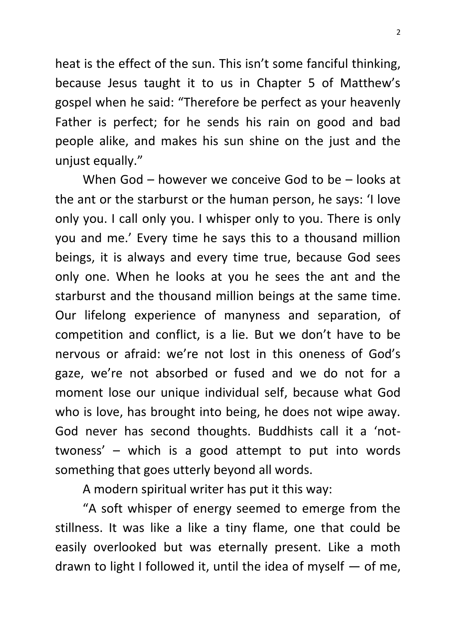heat is the effect of the sun. This isn't some fanciful thinking, because Jesus taught it to us in Chapter 5 of Matthew's gospel when he said: "Therefore be perfect as your heavenly Father is perfect; for he sends his rain on good and bad people alike, and makes his sun shine on the just and the unjust equally."

When God – however we conceive God to be – looks at the ant or the starburst or the human person, he says: 'I love only you. I call only you. I whisper only to you. There is only you and me.' Every time he says this to a thousand million beings, it is always and every time true, because God sees only one. When he looks at you he sees the ant and the starburst and the thousand million beings at the same time. Our lifelong experience of manyness and separation, of competition and conflict, is a lie. But we don't have to be nervous or afraid: we're not lost in this oneness of God's gaze, we're not absorbed or fused and we do not for a moment lose our unique individual self, because what God who is love, has brought into being, he does not wipe away. God never has second thoughts. Buddhists call it a 'nottwoness' – which is a good attempt to put into words something that goes utterly beyond all words.

A modern spiritual writer has put it this way:

"A soft whisper of energy seemed to emerge from the stillness. It was like a like a tiny flame, one that could be easily overlooked but was eternally present. Like a moth drawn to light I followed it, until the idea of myself  $-$  of me,